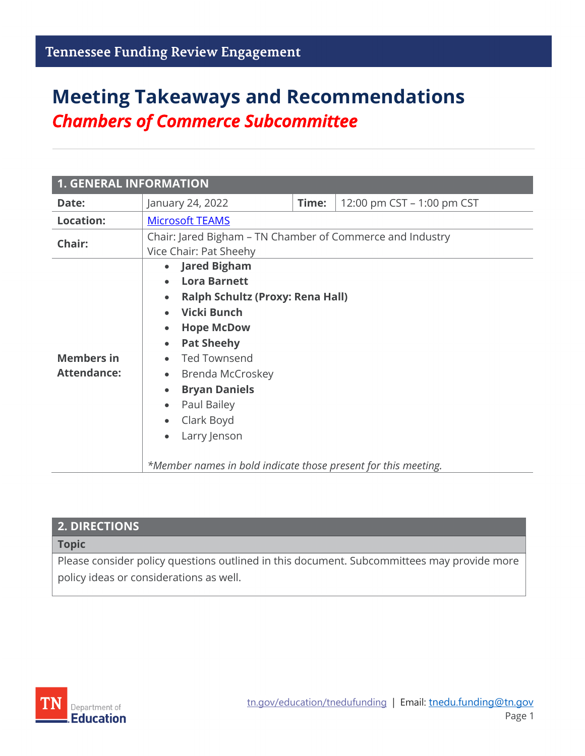# **Meeting Takeaways and Recommendations** *Chambers of Commerce Subcommittee*

| <b>1. GENERAL INFORMATION</b>           |                                                                                                                                                                                                                                                                                                                      |       |                            |  |
|-----------------------------------------|----------------------------------------------------------------------------------------------------------------------------------------------------------------------------------------------------------------------------------------------------------------------------------------------------------------------|-------|----------------------------|--|
| Date:                                   | January 24, 2022                                                                                                                                                                                                                                                                                                     | Time: | 12:00 pm CST - 1:00 pm CST |  |
| <b>Location:</b>                        | <b>Microsoft TEAMS</b>                                                                                                                                                                                                                                                                                               |       |                            |  |
| Chair:                                  | Chair: Jared Bigham - TN Chamber of Commerce and Industry<br>Vice Chair: Pat Sheehy                                                                                                                                                                                                                                  |       |                            |  |
| <b>Members in</b><br><b>Attendance:</b> | • Jared Bigham<br><b>Lora Barnett</b><br><b>Ralph Schultz (Proxy: Rena Hall)</b><br><b>Vicki Bunch</b><br><b>Hope McDow</b><br>$\bullet$<br><b>Pat Sheehy</b><br>$\bullet$<br><b>Ted Townsend</b><br>Brenda McCroskey<br>$\bullet$<br><b>Bryan Daniels</b><br>Paul Bailey<br>$\bullet$<br>Clark Boyd<br>Larry Jenson |       |                            |  |

| <b>2. DIRECTIONS</b>                                                                       |
|--------------------------------------------------------------------------------------------|
| <b>Topic</b>                                                                               |
| Please consider policy questions outlined in this document. Subcommittees may provide more |

policy ideas or considerations as well.

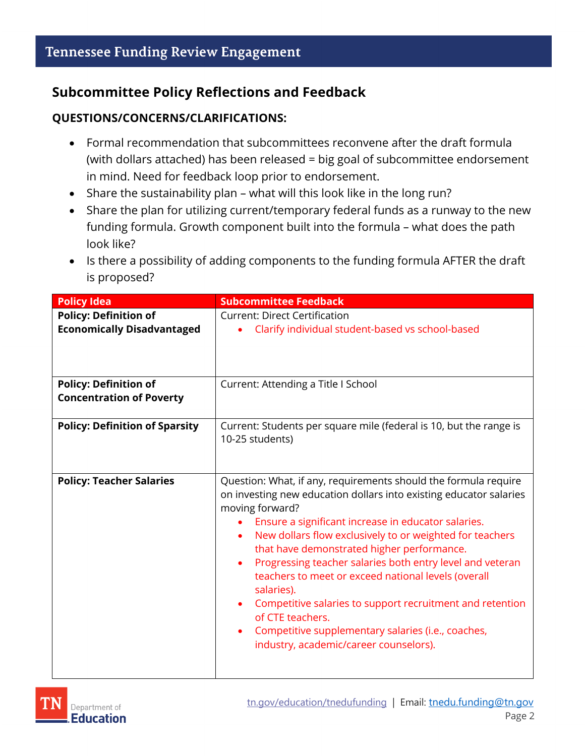### **Subcommittee Policy Reflections and Feedback**

#### **QUESTIONS/CONCERNS/CLARIFICATIONS:**

- Formal recommendation that subcommittees reconvene after the draft formula (with dollars attached) has been released = big goal of subcommittee endorsement in mind. Need for feedback loop prior to endorsement.
- Share the sustainability plan what will this look like in the long run?
- Share the plan for utilizing current/temporary federal funds as a runway to the new funding formula. Growth component built into the formula – what does the path look like?
- Is there a possibility of adding components to the funding formula AFTER the draft is proposed?

| <b>Policy Idea</b>                                                | <b>Subcommittee Feedback</b>                                                                                                                                                                                                                                                                                                                                                                                                                                                                                                                                                                                                                              |  |
|-------------------------------------------------------------------|-----------------------------------------------------------------------------------------------------------------------------------------------------------------------------------------------------------------------------------------------------------------------------------------------------------------------------------------------------------------------------------------------------------------------------------------------------------------------------------------------------------------------------------------------------------------------------------------------------------------------------------------------------------|--|
| <b>Policy: Definition of</b><br><b>Economically Disadvantaged</b> | <b>Current: Direct Certification</b><br>Clarify individual student-based vs school-based                                                                                                                                                                                                                                                                                                                                                                                                                                                                                                                                                                  |  |
| <b>Policy: Definition of</b><br><b>Concentration of Poverty</b>   | Current: Attending a Title I School                                                                                                                                                                                                                                                                                                                                                                                                                                                                                                                                                                                                                       |  |
| <b>Policy: Definition of Sparsity</b>                             | Current: Students per square mile (federal is 10, but the range is<br>10-25 students)                                                                                                                                                                                                                                                                                                                                                                                                                                                                                                                                                                     |  |
| <b>Policy: Teacher Salaries</b>                                   | Question: What, if any, requirements should the formula require<br>on investing new education dollars into existing educator salaries<br>moving forward?<br>Ensure a significant increase in educator salaries.<br>New dollars flow exclusively to or weighted for teachers<br>$\bullet$<br>that have demonstrated higher performance.<br>Progressing teacher salaries both entry level and veteran<br>teachers to meet or exceed national levels (overall<br>salaries).<br>Competitive salaries to support recruitment and retention<br>of CTE teachers.<br>Competitive supplementary salaries (i.e., coaches,<br>industry, academic/career counselors). |  |

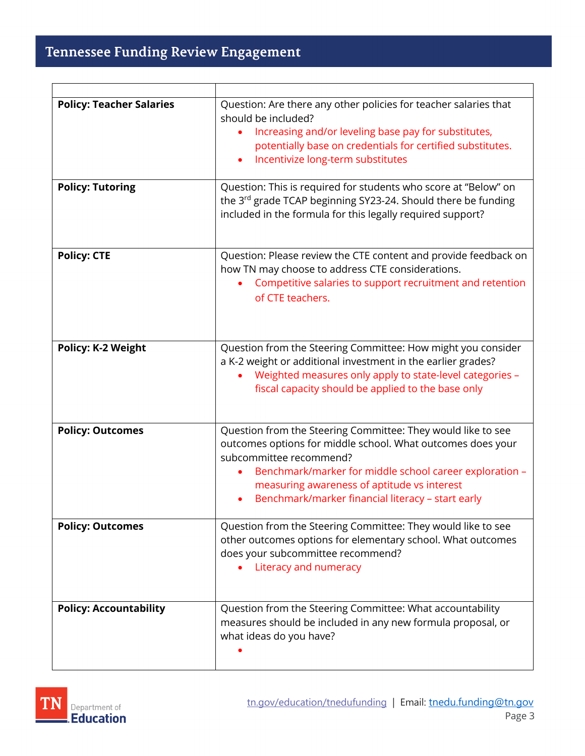| <b>Policy: Teacher Salaries</b> | Question: Are there any other policies for teacher salaries that<br>should be included?<br>Increasing and/or leveling base pay for substitutes,<br>potentially base on credentials for certified substitutes.<br>Incentivize long-term substitutes                                                                    |
|---------------------------------|-----------------------------------------------------------------------------------------------------------------------------------------------------------------------------------------------------------------------------------------------------------------------------------------------------------------------|
| <b>Policy: Tutoring</b>         | Question: This is required for students who score at "Below" on<br>the 3 <sup>rd</sup> grade TCAP beginning SY23-24. Should there be funding<br>included in the formula for this legally required support?                                                                                                            |
| <b>Policy: CTE</b>              | Question: Please review the CTE content and provide feedback on<br>how TN may choose to address CTE considerations.<br>Competitive salaries to support recruitment and retention<br>of CTE teachers.                                                                                                                  |
| <b>Policy: K-2 Weight</b>       | Question from the Steering Committee: How might you consider<br>a K-2 weight or additional investment in the earlier grades?<br>Weighted measures only apply to state-level categories -<br>fiscal capacity should be applied to the base only                                                                        |
| <b>Policy: Outcomes</b>         | Question from the Steering Committee: They would like to see<br>outcomes options for middle school. What outcomes does your<br>subcommittee recommend?<br>Benchmark/marker for middle school career exploration -<br>measuring awareness of aptitude vs interest<br>Benchmark/marker financial literacy - start early |
| <b>Policy: Outcomes</b>         | Question from the Steering Committee: They would like to see<br>other outcomes options for elementary school. What outcomes<br>does your subcommittee recommend?<br>Literacy and numeracy                                                                                                                             |
| <b>Policy: Accountability</b>   | Question from the Steering Committee: What accountability<br>measures should be included in any new formula proposal, or<br>what ideas do you have?                                                                                                                                                                   |

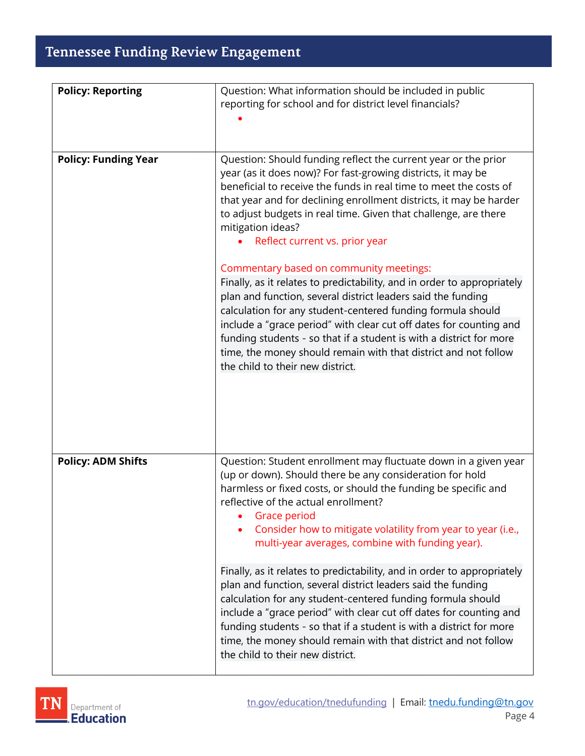## Tennessee Funding Review Engagement

| <b>Policy: Reporting</b>    | Question: What information should be included in public<br>reporting for school and for district level financials?                                                                                                                                                                                                                                                                                                                                                                                                                                                                                                                                                                                                                                                                                                                                                                                           |
|-----------------------------|--------------------------------------------------------------------------------------------------------------------------------------------------------------------------------------------------------------------------------------------------------------------------------------------------------------------------------------------------------------------------------------------------------------------------------------------------------------------------------------------------------------------------------------------------------------------------------------------------------------------------------------------------------------------------------------------------------------------------------------------------------------------------------------------------------------------------------------------------------------------------------------------------------------|
|                             |                                                                                                                                                                                                                                                                                                                                                                                                                                                                                                                                                                                                                                                                                                                                                                                                                                                                                                              |
| <b>Policy: Funding Year</b> | Question: Should funding reflect the current year or the prior<br>year (as it does now)? For fast-growing districts, it may be<br>beneficial to receive the funds in real time to meet the costs of<br>that year and for declining enrollment districts, it may be harder<br>to adjust budgets in real time. Given that challenge, are there<br>mitigation ideas?<br>Reflect current vs. prior year<br>Commentary based on community meetings:<br>Finally, as it relates to predictability, and in order to appropriately<br>plan and function, several district leaders said the funding<br>calculation for any student-centered funding formula should<br>include a "grace period" with clear cut off dates for counting and<br>funding students - so that if a student is with a district for more<br>time, the money should remain with that district and not follow<br>the child to their new district. |
| <b>Policy: ADM Shifts</b>   | Question: Student enrollment may fluctuate down in a given year<br>(up or down). Should there be any consideration for hold<br>harmless or fixed costs, or should the funding be specific and<br>reflective of the actual enrollment?<br>Grace period<br>Consider how to mitigate volatility from year to year (i.e.,<br>multi-year averages, combine with funding year).<br>Finally, as it relates to predictability, and in order to appropriately<br>plan and function, several district leaders said the funding<br>calculation for any student-centered funding formula should<br>include a "grace period" with clear cut off dates for counting and<br>funding students - so that if a student is with a district for more<br>time, the money should remain with that district and not follow<br>the child to their new district.                                                                      |